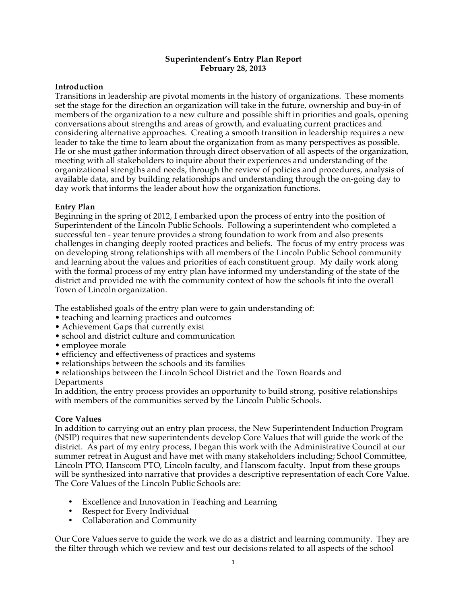### **Superintendent's Entry Plan Report February 28, 2013**

# **Introduction**

Transitions in leadership are pivotal moments in the history of organizations. These moments set the stage for the direction an organization will take in the future, ownership and buy-in of members of the organization to a new culture and possible shift in priorities and goals, opening conversations about strengths and areas of growth, and evaluating current practices and considering alternative approaches. Creating a smooth transition in leadership requires a new leader to take the time to learn about the organization from as many perspectives as possible. He or she must gather information through direct observation of all aspects of the organization, meeting with all stakeholders to inquire about their experiences and understanding of the organizational strengths and needs, through the review of policies and procedures, analysis of available data, and by building relationships and understanding through the on-going day to day work that informs the leader about how the organization functions.

# **Entry Plan**

Beginning in the spring of 2012, I embarked upon the process of entry into the position of Superintendent of the Lincoln Public Schools. Following a superintendent who completed a successful ten - year tenure provides a strong foundation to work from and also presents challenges in changing deeply rooted practices and beliefs. The focus of my entry process was on developing strong relationships with all members of the Lincoln Public School community and learning about the values and priorities of each constituent group. My daily work along with the formal process of my entry plan have informed my understanding of the state of the district and provided me with the community context of how the schools fit into the overall Town of Lincoln organization.

The established goals of the entry plan were to gain understanding of:

- teaching and learning practices and outcomes
- Achievement Gaps that currently exist
- school and district culture and communication
- employee morale
- efficiency and effectiveness of practices and systems
- relationships between the schools and its families
- relationships between the Lincoln School District and the Town Boards and Departments

In addition, the entry process provides an opportunity to build strong, positive relationships with members of the communities served by the Lincoln Public Schools.

# **Core Values**

In addition to carrying out an entry plan process, the New Superintendent Induction Program (NSIP) requires that new superintendents develop Core Values that will guide the work of the district. As part of my entry process, I began this work with the Administrative Council at our summer retreat in August and have met with many stakeholders including; School Committee, Lincoln PTO, Hanscom PTO, Lincoln faculty, and Hanscom faculty. Input from these groups will be synthesized into narrative that provides a descriptive representation of each Core Value. The Core Values of the Lincoln Public Schools are:

- Excellence and Innovation in Teaching and Learning
- Respect for Every Individual
- Collaboration and Community

Our Core Values serve to guide the work we do as a district and learning community. They are the filter through which we review and test our decisions related to all aspects of the school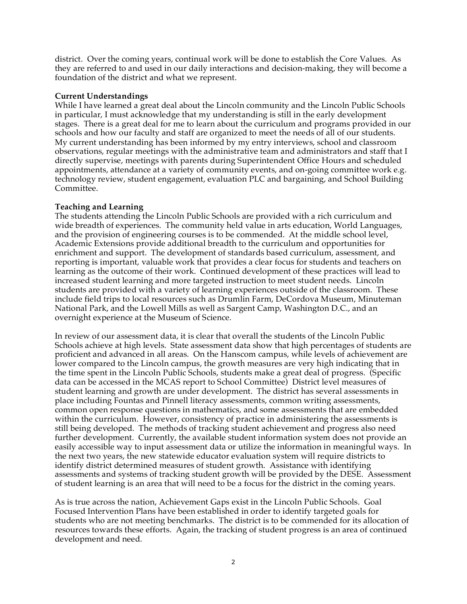district. Over the coming years, continual work will be done to establish the Core Values. As they are referred to and used in our daily interactions and decision-making, they will become a foundation of the district and what we represent.

# **Current Understandings**

While I have learned a great deal about the Lincoln community and the Lincoln Public Schools in particular, I must acknowledge that my understanding is still in the early development stages. There is a great deal for me to learn about the curriculum and programs provided in our schools and how our faculty and staff are organized to meet the needs of all of our students. My current understanding has been informed by my entry interviews, school and classroom observations, regular meetings with the administrative team and administrators and staff that I directly supervise, meetings with parents during Superintendent Office Hours and scheduled appointments, attendance at a variety of community events, and on-going committee work e.g. technology review, student engagement, evaluation PLC and bargaining, and School Building Committee.

# **Teaching and Learning**

The students attending the Lincoln Public Schools are provided with a rich curriculum and wide breadth of experiences. The community held value in arts education, World Languages, and the provision of engineering courses is to be commended. At the middle school level, Academic Extensions provide additional breadth to the curriculum and opportunities for enrichment and support. The development of standards based curriculum, assessment, and reporting is important, valuable work that provides a clear focus for students and teachers on learning as the outcome of their work. Continued development of these practices will lead to increased student learning and more targeted instruction to meet student needs. Lincoln students are provided with a variety of learning experiences outside of the classroom. These include field trips to local resources such as Drumlin Farm, DeCordova Museum, Minuteman National Park, and the Lowell Mills as well as Sargent Camp, Washington D.C., and an overnight experience at the Museum of Science.

In review of our assessment data, it is clear that overall the students of the Lincoln Public Schools achieve at high levels. State assessment data show that high percentages of students are proficient and advanced in all areas. On the Hanscom campus, while levels of achievement are lower compared to the Lincoln campus, the growth measures are very high indicating that in the time spent in the Lincoln Public Schools, students make a great deal of progress. (Specific data can be accessed in the MCAS report to School Committee) District level measures of student learning and growth are under development. The district has several assessments in place including Fountas and Pinnell literacy assessments, common writing assessments, common open response questions in mathematics, and some assessments that are embedded within the curriculum. However, consistency of practice in administering the assessments is still being developed. The methods of tracking student achievement and progress also need further development. Currently, the available student information system does not provide an easily accessible way to input assessment data or utilize the information in meaningful ways. In the next two years, the new statewide educator evaluation system will require districts to identify district determined measures of student growth. Assistance with identifying assessments and systems of tracking student growth will be provided by the DESE. Assessment of student learning is an area that will need to be a focus for the district in the coming years.

As is true across the nation, Achievement Gaps exist in the Lincoln Public Schools. Goal Focused Intervention Plans have been established in order to identify targeted goals for students who are not meeting benchmarks. The district is to be commended for its allocation of resources towards these efforts. Again, the tracking of student progress is an area of continued development and need.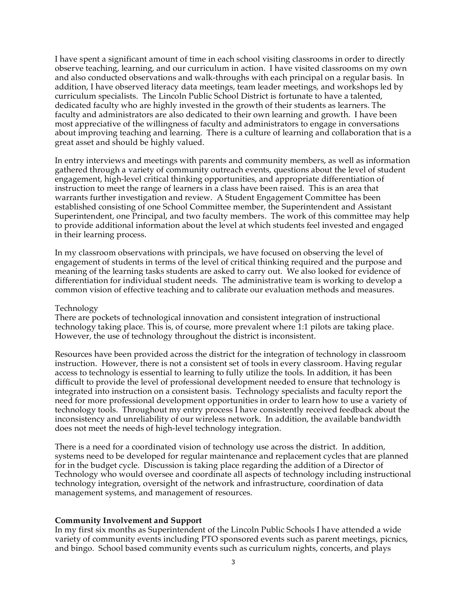I have spent a significant amount of time in each school visiting classrooms in order to directly observe teaching, learning, and our curriculum in action. I have visited classrooms on my own and also conducted observations and walk-throughs with each principal on a regular basis. In addition, I have observed literacy data meetings, team leader meetings, and workshops led by curriculum specialists. The Lincoln Public School District is fortunate to have a talented, dedicated faculty who are highly invested in the growth of their students as learners. The faculty and administrators are also dedicated to their own learning and growth. I have been most appreciative of the willingness of faculty and administrators to engage in conversations about improving teaching and learning. There is a culture of learning and collaboration that is a great asset and should be highly valued.

In entry interviews and meetings with parents and community members, as well as information gathered through a variety of community outreach events, questions about the level of student engagement, high-level critical thinking opportunities, and appropriate differentiation of instruction to meet the range of learners in a class have been raised. This is an area that warrants further investigation and review. A Student Engagement Committee has been established consisting of one School Committee member, the Superintendent and Assistant Superintendent, one Principal, and two faculty members. The work of this committee may help to provide additional information about the level at which students feel invested and engaged in their learning process.

In my classroom observations with principals, we have focused on observing the level of engagement of students in terms of the level of critical thinking required and the purpose and meaning of the learning tasks students are asked to carry out. We also looked for evidence of differentiation for individual student needs. The administrative team is working to develop a common vision of effective teaching and to calibrate our evaluation methods and measures.

#### Technology

There are pockets of technological innovation and consistent integration of instructional technology taking place. This is, of course, more prevalent where 1:1 pilots are taking place. However, the use of technology throughout the district is inconsistent.

Resources have been provided across the district for the integration of technology in classroom instruction. However, there is not a consistent set of tools in every classroom. Having regular access to technology is essential to learning to fully utilize the tools. In addition, it has been difficult to provide the level of professional development needed to ensure that technology is integrated into instruction on a consistent basis. Technology specialists and faculty report the need for more professional development opportunities in order to learn how to use a variety of technology tools. Throughout my entry process I have consistently received feedback about the inconsistency and unreliability of our wireless network. In addition, the available bandwidth does not meet the needs of high-level technology integration.

There is a need for a coordinated vision of technology use across the district. In addition, systems need to be developed for regular maintenance and replacement cycles that are planned for in the budget cycle. Discussion is taking place regarding the addition of a Director of Technology who would oversee and coordinate all aspects of technology including instructional technology integration, oversight of the network and infrastructure, coordination of data management systems, and management of resources.

### **Community Involvement and Support**

In my first six months as Superintendent of the Lincoln Public Schools I have attended a wide variety of community events including PTO sponsored events such as parent meetings, picnics, and bingo. School based community events such as curriculum nights, concerts, and plays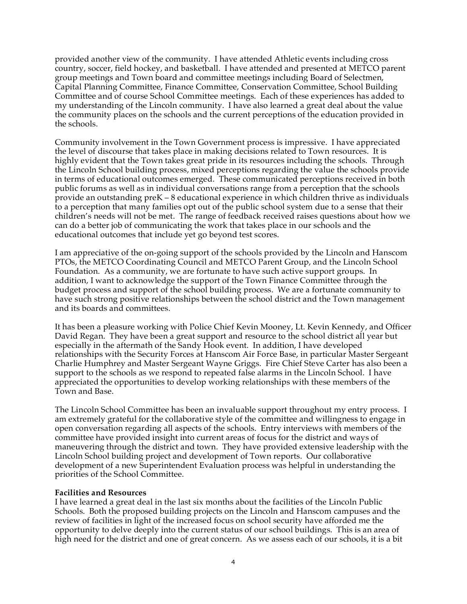provided another view of the community. I have attended Athletic events including cross country, soccer, field hockey, and basketball. I have attended and presented at METCO parent group meetings and Town board and committee meetings including Board of Selectmen, Capital Planning Committee, Finance Committee, Conservation Committee, School Building Committee and of course School Committee meetings. Each of these experiences has added to my understanding of the Lincoln community. I have also learned a great deal about the value the community places on the schools and the current perceptions of the education provided in the schools.

Community involvement in the Town Government process is impressive. I have appreciated the level of discourse that takes place in making decisions related to Town resources. It is highly evident that the Town takes great pride in its resources including the schools. Through the Lincoln School building process, mixed perceptions regarding the value the schools provide in terms of educational outcomes emerged. These communicated perceptions received in both public forums as well as in individual conversations range from a perception that the schools provide an outstanding preK – 8 educational experience in which children thrive as individuals to a perception that many families opt out of the public school system due to a sense that their children's needs will not be met. The range of feedback received raises questions about how we can do a better job of communicating the work that takes place in our schools and the educational outcomes that include yet go beyond test scores.

I am appreciative of the on-going support of the schools provided by the Lincoln and Hanscom PTOs, the METCO Coordinating Council and METCO Parent Group, and the Lincoln School Foundation. As a community, we are fortunate to have such active support groups. In addition, I want to acknowledge the support of the Town Finance Committee through the budget process and support of the school building process. We are a fortunate community to have such strong positive relationships between the school district and the Town management and its boards and committees.

It has been a pleasure working with Police Chief Kevin Mooney, Lt. Kevin Kennedy, and Officer David Regan. They have been a great support and resource to the school district all year but especially in the aftermath of the Sandy Hook event. In addition, I have developed relationships with the Security Forces at Hanscom Air Force Base, in particular Master Sergeant Charlie Humphrey and Master Sergeant Wayne Griggs. Fire Chief Steve Carter has also been a support to the schools as we respond to repeated false alarms in the Lincoln School. I have appreciated the opportunities to develop working relationships with these members of the Town and Base.

The Lincoln School Committee has been an invaluable support throughout my entry process. I am extremely grateful for the collaborative style of the committee and willingness to engage in open conversation regarding all aspects of the schools. Entry interviews with members of the committee have provided insight into current areas of focus for the district and ways of maneuvering through the district and town. They have provided extensive leadership with the Lincoln School building project and development of Town reports. Our collaborative development of a new Superintendent Evaluation process was helpful in understanding the priorities of the School Committee.

#### **Facilities and Resources**

I have learned a great deal in the last six months about the facilities of the Lincoln Public Schools. Both the proposed building projects on the Lincoln and Hanscom campuses and the review of facilities in light of the increased focus on school security have afforded me the opportunity to delve deeply into the current status of our school buildings. This is an area of high need for the district and one of great concern. As we assess each of our schools, it is a bit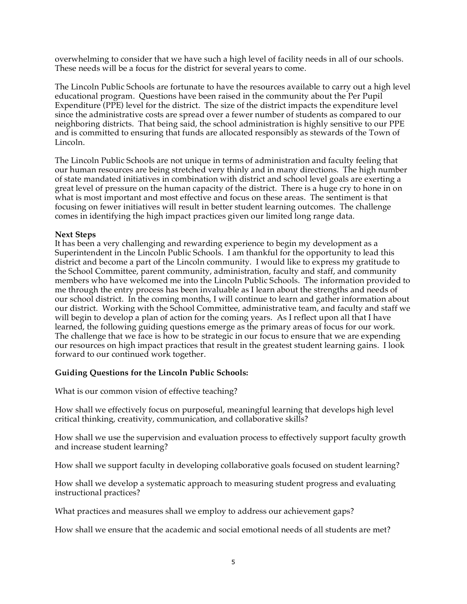overwhelming to consider that we have such a high level of facility needs in all of our schools. These needs will be a focus for the district for several years to come.

The Lincoln Public Schools are fortunate to have the resources available to carry out a high level educational program. Questions have been raised in the community about the Per Pupil Expenditure (PPE) level for the district. The size of the district impacts the expenditure level since the administrative costs are spread over a fewer number of students as compared to our neighboring districts. That being said, the school administration is highly sensitive to our PPE and is committed to ensuring that funds are allocated responsibly as stewards of the Town of Lincoln.

The Lincoln Public Schools are not unique in terms of administration and faculty feeling that our human resources are being stretched very thinly and in many directions. The high number of state mandated initiatives in combination with district and school level goals are exerting a great level of pressure on the human capacity of the district. There is a huge cry to hone in on what is most important and most effective and focus on these areas. The sentiment is that focusing on fewer initiatives will result in better student learning outcomes. The challenge comes in identifying the high impact practices given our limited long range data.

### **Next Steps**

It has been a very challenging and rewarding experience to begin my development as a Superintendent in the Lincoln Public Schools. I am thankful for the opportunity to lead this district and become a part of the Lincoln community. I would like to express my gratitude to the School Committee, parent community, administration, faculty and staff, and community members who have welcomed me into the Lincoln Public Schools. The information provided to me through the entry process has been invaluable as I learn about the strengths and needs of our school district. In the coming months, I will continue to learn and gather information about our district. Working with the School Committee, administrative team, and faculty and staff we will begin to develop a plan of action for the coming years. As I reflect upon all that I have learned, the following guiding questions emerge as the primary areas of focus for our work. The challenge that we face is how to be strategic in our focus to ensure that we are expending our resources on high impact practices that result in the greatest student learning gains. I look forward to our continued work together.

### **Guiding Questions for the Lincoln Public Schools:**

What is our common vision of effective teaching?

How shall we effectively focus on purposeful, meaningful learning that develops high level critical thinking, creativity, communication, and collaborative skills?

How shall we use the supervision and evaluation process to effectively support faculty growth and increase student learning?

How shall we support faculty in developing collaborative goals focused on student learning?

How shall we develop a systematic approach to measuring student progress and evaluating instructional practices?

What practices and measures shall we employ to address our achievement gaps?

How shall we ensure that the academic and social emotional needs of all students are met?